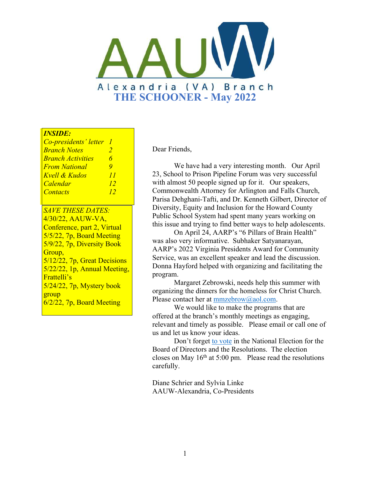

#### *INSIDE:*

| Co-presidents' letter    |    |
|--------------------------|----|
| <b>Branch Notes</b>      | 2  |
| <b>Branch Activities</b> | 6  |
| <b>From National</b>     | 9  |
| Kvell & Kudos            | 11 |
| <b>Calendar</b>          | 12 |
| <b>Contacts</b>          | 12 |

*SAVE THESE DATES:* 4/30/22, AAUW-VA, Conference, part 2, Virtual 5/5/22, 7p, Board Meeting 5/9/22, 7p, Diversity Book Group, 5/12/22, 7p, Great Decisions 5/22/22, 1p, Annual Meeting, Frattelli's 5/24/22, 7p, Mystery book group 6/2/22, 7p, Board Meeting

Dear Friends,

We have had a very interesting month. Our April 23, School to Prison Pipeline Forum was very successful with almost 50 people signed up for it. Our speakers, Commonwealth Attorney for Arlington and Falls Church, Parisa Dehghani-Tafti, and Dr. Kenneth Gilbert, Director of Diversity, Equity and Inclusion for the Howard County Public School System had spent many years working on this issue and trying to find better ways to help adolescents.

On April 24, AARP's "6 Pillars of Brain Health" was also very informative. Subhaker Satyanarayan, AARP's 2022 Virginia Presidents Award for Community Service, was an excellent speaker and lead the discussion. Donna Hayford helped with organizing and facilitating the program.

Margaret Zebrowski, needs help this summer with organizing the dinners for the homeless for Christ Church. Please contact her at [mmzebrow@aol.com](mailto:mmzebrow@aol.com).

We would like to make the programs that are offered at the branch's monthly meetings as engaging, relevant and timely as possible. Please email or call one of us and let us know your ideas.

Don't forget [to vote](https://www.aauw.org/resources/member/governance-tools/national-election/2022-comment-nominations/) in the National Election for the Board of Directors and the Resolutions. The election closes on May  $16<sup>th</sup>$  at 5:00 pm. Please read the resolutions carefully.

Diane Schrier and Sylvia Linke AAUW-Alexandria, Co-Presidents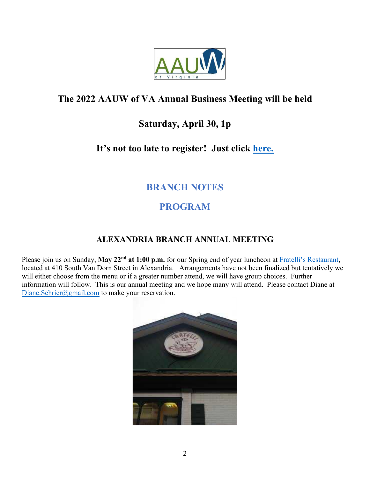

# **The 2022 AAUW of VA Annual Business Meeting will be held**

# **Saturday, April 30, 1p**

### **It's not too late to register! Just click [here.](https://us02web.zoom.us/webinar/register/WN_jlYo58aVTL-_ab99eLEUVA)**

# **BRANCH NOTES**

# **PROGRAM**

#### **ALEXANDRIA BRANCH ANNUAL MEETING**

Please join us on Sunday, May 22<sup>nd</sup> at 1:00 p.m. for our Spring end of year luncheon at **Fratelli's Restaurant**, located at 410 South Van Dorn Street in Alexandria. Arrangements have not been finalized but tentatively we will either choose from the menu or if a greater number attend, we will have group choices. Further information will follow. This is our annual meeting and we hope many will attend. Please contact Diane at [Diane.Schrier@gmail.com](mailto:Diane.Schrier@gmail.com) to make your reservation.

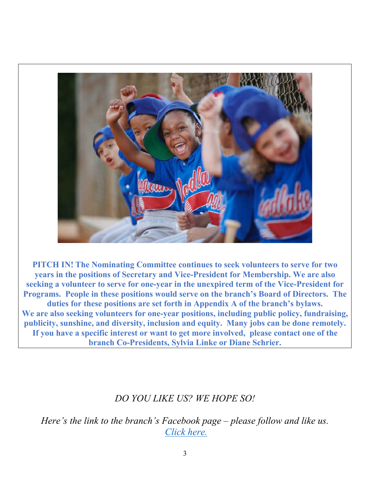

**PITCH IN! The Nominating Committee continues to seek volunteers to serve for two years in the positions of Secretary and Vice-President for Membership. We are also seeking a volunteer to serve for one-year in the unexpired term of the Vice-President for Programs. People in these positions would serve on the branch's Board of Directors. The duties for these positions are set forth in Appendix A of the branch's bylaws. We are also seeking volunteers for one-year positions, including public policy, fundraising, publicity, sunshine, and diversity, inclusion and equity. Many jobs can be done remotely. If you have a specific interest or want to get more involved, please contact one of the branch Co-Presidents, Sylvia Linke or Diane Schrier.** 

# *DO YOU LIKE US? WE HOPE SO!*

*Here's the link to the branch's Facebook page – please follow and like us. [Click here.](https://www.facebook.com/AAUW-Alexandria-Branch-Alexandria-VA-273402873288585)*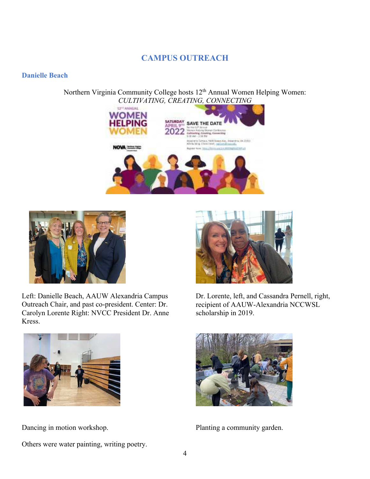#### **CAMPUS OUTREACH**

#### **Danielle Beach**

Northern Virginia Community College hosts 12<sup>th</sup> Annual Women Helping Women: *CULTIVATING, CREATING, CONNECTING*





Left: Danielle Beach, AAUW Alexandria Campus Outreach Chair, and past co-president. Center: Dr. Carolyn Lorente Right: NVCC President Dr. Anne Kress.



Others were water painting, writing poetry.



Dr. Lorente, left, and Cassandra Pernell, right, recipient of AAUW-Alexandria NCCWSL scholarship in 2019.



Dancing in motion workshop. Planting a community garden.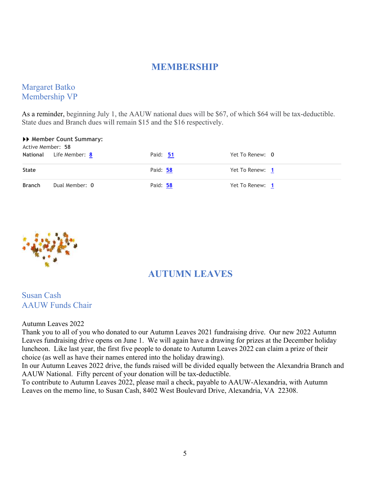#### **MEMBERSHIP**

#### Margaret Batko Membership VP

As a reminder, beginning July 1, the AAUW national dues will be \$67, of which \$64 will be tax-deductible. State dues and Branch dues will remain \$15 and the \$16 respectively.

#### **Member Count Summary:**

| Active Member: 58 | <b>National</b> Life Member: 8 | Paid: 51 | Yet To Renew: 0 |
|-------------------|--------------------------------|----------|-----------------|
| State             |                                | Paid: 58 | Yet To Renew: 1 |
| <b>Branch</b>     | Dual Member: 0                 | Paid: 58 | Yet To Renew: 1 |



### **AUTUMN LEAVES**

#### Susan Cash AAUW Funds Chair

Autumn Leaves 2022

Thank you to all of you who donated to our Autumn Leaves 2021 fundraising drive. Our new 2022 Autumn Leaves fundraising drive opens on June 1. We will again have a drawing for prizes at the December holiday luncheon. Like last year, the first five people to donate to Autumn Leaves 2022 can claim a prize of their choice (as well as have their names entered into the holiday drawing).

In our Autumn Leaves 2022 drive, the funds raised will be divided equally between the Alexandria Branch and AAUW National. Fifty percent of your donation will be tax-deductible.

To contribute to Autumn Leaves 2022, please mail a check, payable to AAUW-Alexandria, with Autumn Leaves on the memo line, to Susan Cash, 8402 West Boulevard Drive, Alexandria, VA 22308.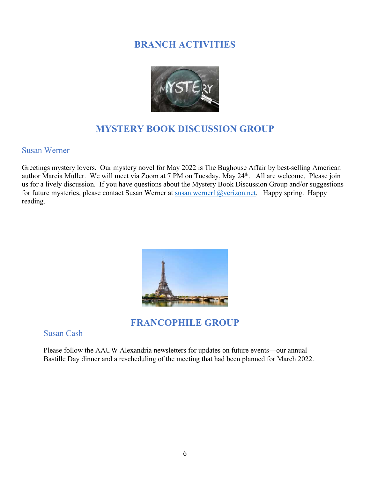## **BRANCH ACTIVITIES**



# **MYSTERY BOOK DISCUSSION GROUP**

#### Susan Werner

Greetings mystery lovers. Our mystery novel for May 2022 is The Bughouse Affair by best-selling American author Marcia Muller. We will meet via Zoom at 7 PM on Tuesday, May 24th. All are welcome. Please join us for a lively discussion. If you have questions about the Mystery Book Discussion Group and/or suggestions for future mysteries, please contact Susan Werner at [susan.werner1@verizon.net](mailto:susan.werner1@verizon.net). Happy spring. Happy reading.



### **FRANCOPHILE GROUP**

Susan Cash

Please follow the AAUW Alexandria newsletters for updates on future events—our annual Bastille Day dinner and a rescheduling of the meeting that had been planned for March 2022.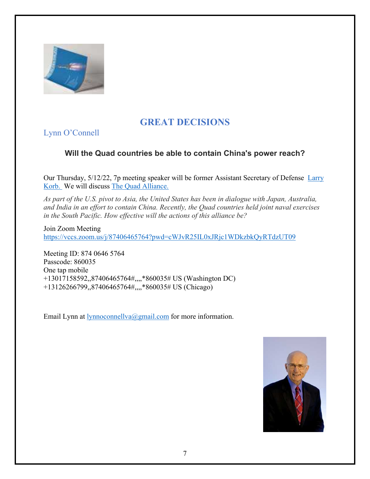

# **GREAT DECISIONS**

Lynn O'Connell

#### **Will the Quad countries be able to contain China's power reach?**

Our Thursday, 5/12/22, 7p meeting speaker will be former Assistant Secretary of Defense [Larry](https://www.americanprogress.org/people/korb-lawrence-j/) [Korb.](https://www.americanprogress.org/people/korb-lawrence-j/) We will discuss [The Quad Alliance.](https://www.fpa.org/great_decisions/index.cfm?act=topic_detail&topic_id=104)

*As part of the U.S. pivot to Asia, the United States has been in dialogue with Japan, Australia, and India in an effort to contain China. Recently, the Quad countries held joint naval exercises in the South Pacific. How effective will the actions of this alliance be?*

Join Zoom Meeting <https://vccs.zoom.us/j/87406465764?pwd=cWJvR25IL0xJRjc1WDkzbkQyRTdzUT09>

Meeting ID: 874 0646 5764 Passcode: 860035 One tap mobile +13017158592,,87406465764#,,,,\*860035# US (Washington DC) +13126266799,,87406465764#,,,,\*860035# US (Chicago)

Email Lynn at [lynnoconnellva@gmail.com](mailto:lynnoconnellva@gmail.com) for more information.

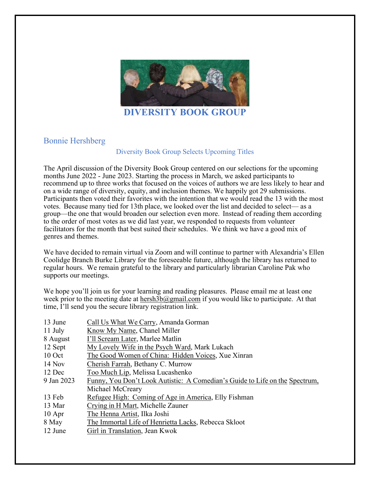

#### **DIVERSITY BOOK GROUP**

#### Bonnie Hershberg

#### Diversity Book Group Selects Upcoming Titles

The April discussion of the Diversity Book Group centered on our selections for the upcoming months June 2022 - June 2023. Starting the process in March, we asked participants to recommend up to three works that focused on the voices of authors we are less likely to hear and on a wide range of diversity, equity, and inclusion themes. We happily got 29 submissions. Participants then voted their favorites with the intention that we would read the 13 with the most votes. Because many tied for 13th place, we looked over the list and decided to select— as a group—the one that would broaden our selection even more. Instead of reading them according to the order of most votes as we did last year, we responded to requests from volunteer facilitators for the month that best suited their schedules. We think we have a good mix of genres and themes.

We have decided to remain virtual via Zoom and will continue to partner with Alexandria's Ellen Coolidge Branch Burke Library for the foreseeable future, although the library has returned to regular hours. We remain grateful to the library and particularly librarian Caroline Pak who supports our meetings.

We hope you'll join us for your learning and reading pleasures. Please email me at least one week prior to the meeting date at hersh $3b@g$  mail.com if you would like to participate. At that time, I'll send you the secure library registration link.

| 13 June    | Call Us What We Carry, Amanda Gorman                                        |  |  |
|------------|-----------------------------------------------------------------------------|--|--|
| 11 July    | Know My Name, Chanel Miller                                                 |  |  |
| 8 August   | I'll Scream Later, Marlee Matlin                                            |  |  |
| 12 Sept    | My Lovely Wife in the Psych Ward, Mark Lukach                               |  |  |
| $10$ Oct   | The Good Women of China: Hidden Voices, Xue Xinran                          |  |  |
| $14$ Nov   | Cherish Farrah, Bethany C. Murrow                                           |  |  |
| 12 Dec     | Too Much Lip, Melissa Lucashenko                                            |  |  |
| 9 Jan 2023 | Funny, You Don't Look Autistic: A Comedian's Guide to Life on the Spectrum, |  |  |
|            | Michael McCreary                                                            |  |  |
| 13 Feb     | Refugee High: Coming of Age in America, Elly Fishman                        |  |  |
| 13 Mar     | Crying in H Mart, Michelle Zauner                                           |  |  |
| $10$ Apr   | The Henna Artist, Ilka Joshi                                                |  |  |
| 8 May      | The Immortal Life of Henrietta Lacks, Rebecca Skloot                        |  |  |
| 12 June    | Girl in Translation, Jean Kwok                                              |  |  |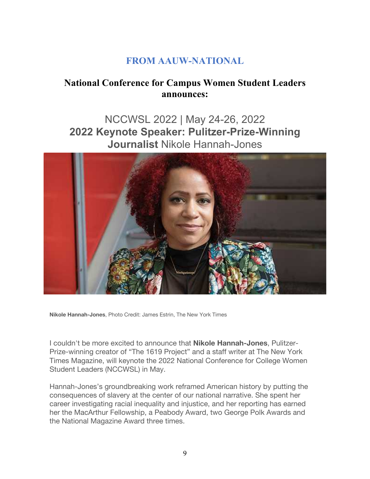# **FROM AAUW-NATIONAL**

# **National Conference for Campus Women Student Leaders announces:**

# NCCWSL 2022 | May 24-26, 2022 **2022 Keynote Speaker: Pulitzer-Prize-Winning Journalist** Nikole Hannah-Jones



**Nikole Hannah-Jones**, Photo Credit: James Estrin, The New York Times

I couldn't be more excited to announce that **Nikole Hannah-Jones**, Pulitzer-Prize-winning creator of "The 1619 Project" and a staff writer at The New York Times Magazine, will keynote the 2022 National Conference for College Women Student Leaders (NCCWSL) in May.

Hannah-Jones's groundbreaking work reframed American history by putting the consequences of slavery at the center of our national narrative. She spent her career investigating racial inequality and injustice, and her reporting has earned her the MacArthur Fellowship, a Peabody Award, two George Polk Awards and the National Magazine Award three times.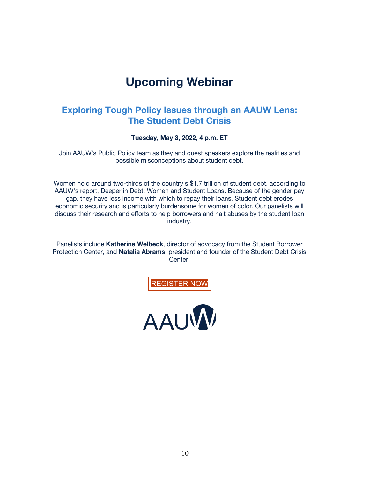# **Upcoming Webinar**

#### **Exploring Tough Policy Issues through an AAUW Lens: The Student Debt Crisis**

**Tuesday, May 3, 2022, 4 p.m. ET**

Join AAUW's Public Policy team as they and guest speakers explore the realities and possible misconceptions about student debt.

Women hold around two-thirds of the country's \$1.7 trillion of student debt, according to AAUW's report, Deeper in Debt: Women and Student Loans. Because of the gender pay gap, they have less income with which to repay their loans. Student debt erodes economic security and is particularly burdensome for women of color. Our panelists will discuss their research and efforts to help borrowers and halt abuses by the student loan industry.

Panelists include **Katherine Welbeck**, director of advocacy from the Student Borrower Protection Center, and **Natalia Abrams**, president and founder of the Student Debt Crisis Center.



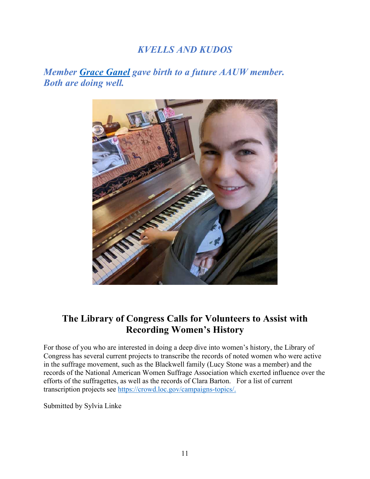## *KVELLS AND KUDOS*

*Member [Grace Ganel](https://www.facebook.com/threetreasureswellnessllc/) gave birth to a future AAUW member. Both are doing well.*



## **The Library of Congress Calls for Volunteers to Assist with Recording Women's History**

For those of you who are interested in doing a deep dive into women's history, the Library of Congress has several current projects to transcribe the records of noted women who were active in the suffrage movement, such as the Blackwell family (Lucy Stone was a member) and the records of the National American Women Suffrage Association which exerted influence over the efforts of the suffragettes, as well as the records of Clara Barton. For a list of current transcription projects see<https://crowd.loc.gov/campaigns-topics/>.

Submitted by Sylvia Linke